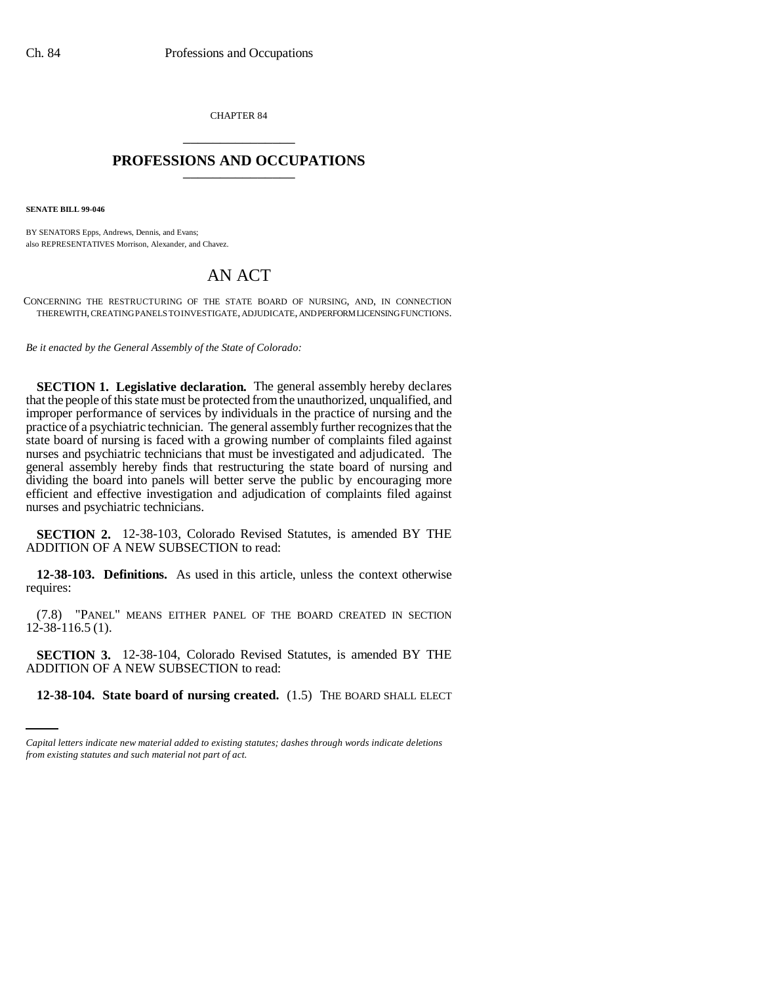CHAPTER 84 \_\_\_\_\_\_\_\_\_\_\_\_\_\_\_

## **PROFESSIONS AND OCCUPATIONS** \_\_\_\_\_\_\_\_\_\_\_\_\_\_\_

**SENATE BILL 99-046** 

BY SENATORS Epps, Andrews, Dennis, and Evans; also REPRESENTATIVES Morrison, Alexander, and Chavez.

# AN ACT

CONCERNING THE RESTRUCTURING OF THE STATE BOARD OF NURSING, AND, IN CONNECTION THEREWITH, CREATING PANELS TO INVESTIGATE, ADJUDICATE, AND PERFORM LICENSING FUNCTIONS.

*Be it enacted by the General Assembly of the State of Colorado:*

**SECTION 1. Legislative declaration.** The general assembly hereby declares that the people of this state must be protected from the unauthorized, unqualified, and improper performance of services by individuals in the practice of nursing and the practice of a psychiatric technician. The general assembly further recognizes that the state board of nursing is faced with a growing number of complaints filed against nurses and psychiatric technicians that must be investigated and adjudicated. The general assembly hereby finds that restructuring the state board of nursing and dividing the board into panels will better serve the public by encouraging more efficient and effective investigation and adjudication of complaints filed against nurses and psychiatric technicians.

**SECTION 2.** 12-38-103, Colorado Revised Statutes, is amended BY THE ADDITION OF A NEW SUBSECTION to read:

**12-38-103. Definitions.** As used in this article, unless the context otherwise requires:

(7.8) "PANEL" MEANS EITHER PANEL OF THE BOARD CREATED IN SECTION 12-38-116.5 (1).

ADDITION OF A NEW SUBSECTION to read: **SECTION 3.** 12-38-104, Colorado Revised Statutes, is amended BY THE

**12-38-104. State board of nursing created.** (1.5) THE BOARD SHALL ELECT

*Capital letters indicate new material added to existing statutes; dashes through words indicate deletions from existing statutes and such material not part of act.*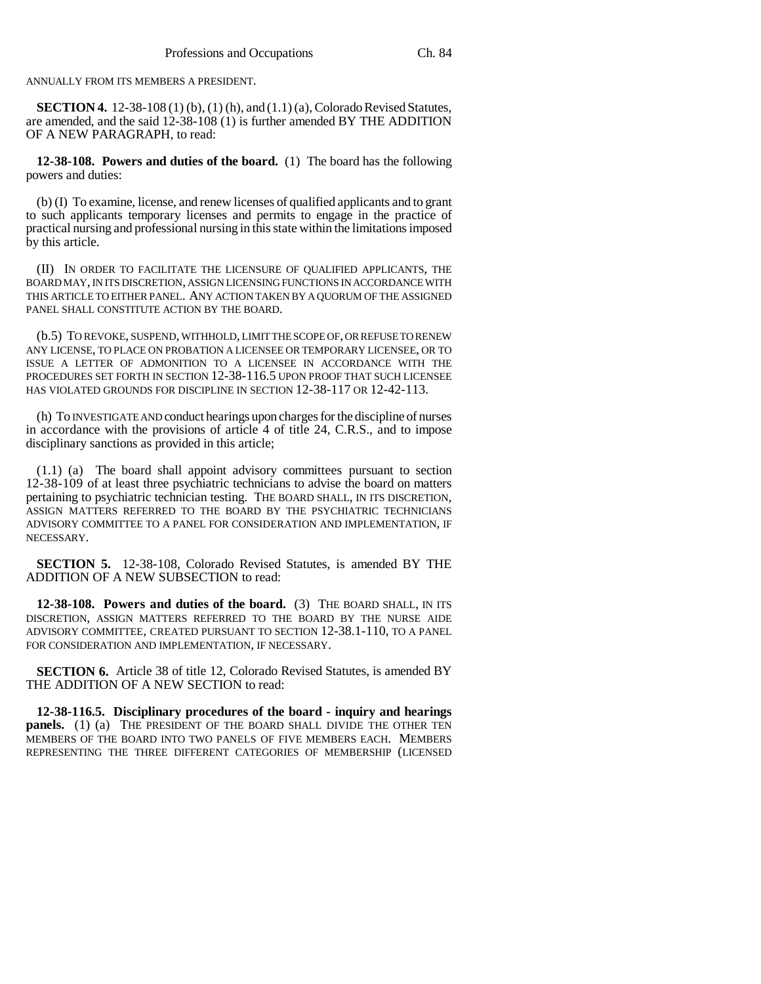ANNUALLY FROM ITS MEMBERS A PRESIDENT.

**SECTION 4.** 12-38-108 (1) (b), (1) (h), and (1.1) (a), Colorado Revised Statutes, are amended, and the said 12-38-108 (1) is further amended BY THE ADDITION OF A NEW PARAGRAPH, to read:

**12-38-108. Powers and duties of the board.** (1) The board has the following powers and duties:

(b) (I) To examine, license, and renew licenses of qualified applicants and to grant to such applicants temporary licenses and permits to engage in the practice of practical nursing and professional nursing in this state within the limitations imposed by this article.

(II) IN ORDER TO FACILITATE THE LICENSURE OF QUALIFIED APPLICANTS, THE BOARD MAY, IN ITS DISCRETION, ASSIGN LICENSING FUNCTIONS IN ACCORDANCE WITH THIS ARTICLE TO EITHER PANEL. ANY ACTION TAKEN BY A QUORUM OF THE ASSIGNED PANEL SHALL CONSTITUTE ACTION BY THE BOARD.

(b.5) TO REVOKE, SUSPEND, WITHHOLD, LIMIT THE SCOPE OF, OR REFUSE TO RENEW ANY LICENSE, TO PLACE ON PROBATION A LICENSEE OR TEMPORARY LICENSEE, OR TO ISSUE A LETTER OF ADMONITION TO A LICENSEE IN ACCORDANCE WITH THE PROCEDURES SET FORTH IN SECTION 12-38-116.5 UPON PROOF THAT SUCH LICENSEE HAS VIOLATED GROUNDS FOR DISCIPLINE IN SECTION 12-38-117 OR 12-42-113.

(h) To INVESTIGATE AND conduct hearings upon charges for the discipline of nurses in accordance with the provisions of article 4 of title 24, C.R.S., and to impose disciplinary sanctions as provided in this article;

(1.1) (a) The board shall appoint advisory committees pursuant to section 12-38-109 of at least three psychiatric technicians to advise the board on matters pertaining to psychiatric technician testing. THE BOARD SHALL, IN ITS DISCRETION, ASSIGN MATTERS REFERRED TO THE BOARD BY THE PSYCHIATRIC TECHNICIANS ADVISORY COMMITTEE TO A PANEL FOR CONSIDERATION AND IMPLEMENTATION, IF NECESSARY.

**SECTION 5.** 12-38-108, Colorado Revised Statutes, is amended BY THE ADDITION OF A NEW SUBSECTION to read:

**12-38-108. Powers and duties of the board.** (3) THE BOARD SHALL, IN ITS DISCRETION, ASSIGN MATTERS REFERRED TO THE BOARD BY THE NURSE AIDE ADVISORY COMMITTEE, CREATED PURSUANT TO SECTION 12-38.1-110, TO A PANEL FOR CONSIDERATION AND IMPLEMENTATION, IF NECESSARY.

**SECTION 6.** Article 38 of title 12, Colorado Revised Statutes, is amended BY THE ADDITION OF A NEW SECTION to read:

**12-38-116.5. Disciplinary procedures of the board - inquiry and hearings panels.** (1) (a) THE PRESIDENT OF THE BOARD SHALL DIVIDE THE OTHER TEN MEMBERS OF THE BOARD INTO TWO PANELS OF FIVE MEMBERS EACH. MEMBERS REPRESENTING THE THREE DIFFERENT CATEGORIES OF MEMBERSHIP (LICENSED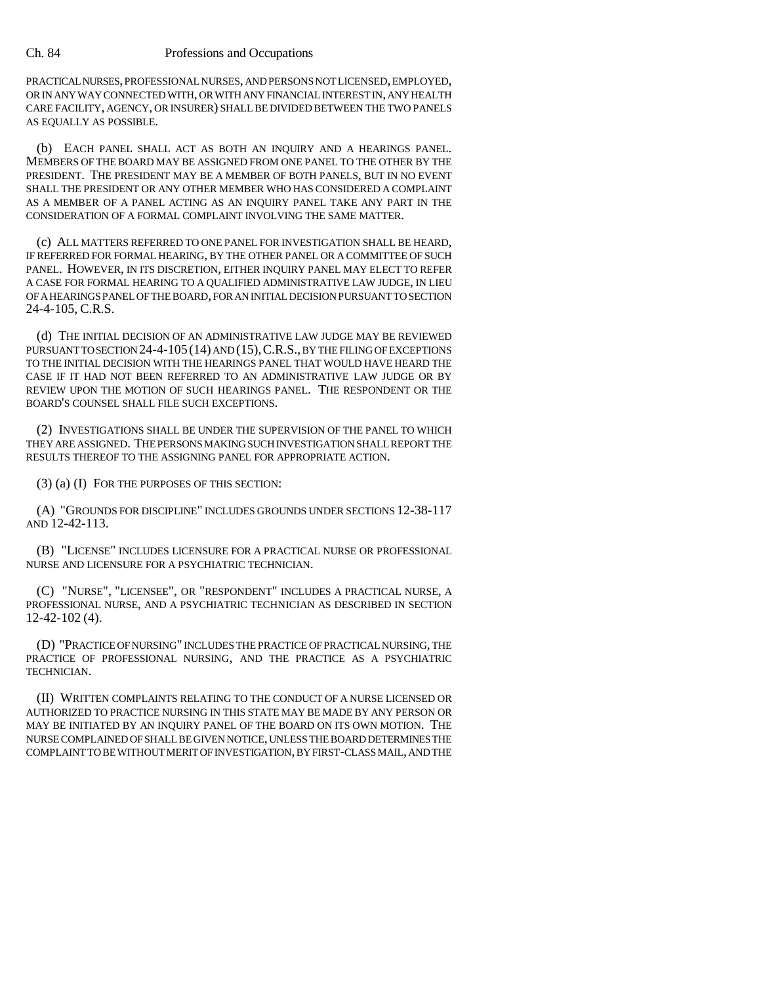PRACTICAL NURSES, PROFESSIONAL NURSES, AND PERSONS NOT LICENSED, EMPLOYED, OR IN ANY WAY CONNECTED WITH, OR WITH ANY FINANCIAL INTEREST IN, ANY HEALTH CARE FACILITY, AGENCY, OR INSURER) SHALL BE DIVIDED BETWEEN THE TWO PANELS AS EQUALLY AS POSSIBLE.

(b) EACH PANEL SHALL ACT AS BOTH AN INQUIRY AND A HEARINGS PANEL. MEMBERS OF THE BOARD MAY BE ASSIGNED FROM ONE PANEL TO THE OTHER BY THE PRESIDENT. THE PRESIDENT MAY BE A MEMBER OF BOTH PANELS, BUT IN NO EVENT SHALL THE PRESIDENT OR ANY OTHER MEMBER WHO HAS CONSIDERED A COMPLAINT AS A MEMBER OF A PANEL ACTING AS AN INQUIRY PANEL TAKE ANY PART IN THE CONSIDERATION OF A FORMAL COMPLAINT INVOLVING THE SAME MATTER.

(c) ALL MATTERS REFERRED TO ONE PANEL FOR INVESTIGATION SHALL BE HEARD, IF REFERRED FOR FORMAL HEARING, BY THE OTHER PANEL OR A COMMITTEE OF SUCH PANEL. HOWEVER, IN ITS DISCRETION, EITHER INQUIRY PANEL MAY ELECT TO REFER A CASE FOR FORMAL HEARING TO A QUALIFIED ADMINISTRATIVE LAW JUDGE, IN LIEU OF A HEARINGS PANEL OF THE BOARD, FOR AN INITIAL DECISION PURSUANT TO SECTION 24-4-105, C.R.S.

(d) THE INITIAL DECISION OF AN ADMINISTRATIVE LAW JUDGE MAY BE REVIEWED PURSUANT TO SECTION 24-4-105 (14) AND (15), C.R.S., BY THE FILING OF EXCEPTIONS TO THE INITIAL DECISION WITH THE HEARINGS PANEL THAT WOULD HAVE HEARD THE CASE IF IT HAD NOT BEEN REFERRED TO AN ADMINISTRATIVE LAW JUDGE OR BY REVIEW UPON THE MOTION OF SUCH HEARINGS PANEL. THE RESPONDENT OR THE BOARD'S COUNSEL SHALL FILE SUCH EXCEPTIONS.

(2) INVESTIGATIONS SHALL BE UNDER THE SUPERVISION OF THE PANEL TO WHICH THEY ARE ASSIGNED. THE PERSONS MAKING SUCH INVESTIGATION SHALL REPORT THE RESULTS THEREOF TO THE ASSIGNING PANEL FOR APPROPRIATE ACTION.

(3) (a) (I) FOR THE PURPOSES OF THIS SECTION:

(A) "GROUNDS FOR DISCIPLINE" INCLUDES GROUNDS UNDER SECTIONS 12-38-117 AND 12-42-113.

(B) "LICENSE" INCLUDES LICENSURE FOR A PRACTICAL NURSE OR PROFESSIONAL NURSE AND LICENSURE FOR A PSYCHIATRIC TECHNICIAN.

(C) "NURSE", "LICENSEE", OR "RESPONDENT" INCLUDES A PRACTICAL NURSE, A PROFESSIONAL NURSE, AND A PSYCHIATRIC TECHNICIAN AS DESCRIBED IN SECTION 12-42-102 (4).

(D) "PRACTICE OF NURSING" INCLUDES THE PRACTICE OF PRACTICAL NURSING, THE PRACTICE OF PROFESSIONAL NURSING, AND THE PRACTICE AS A PSYCHIATRIC TECHNICIAN.

(II) WRITTEN COMPLAINTS RELATING TO THE CONDUCT OF A NURSE LICENSED OR AUTHORIZED TO PRACTICE NURSING IN THIS STATE MAY BE MADE BY ANY PERSON OR MAY BE INITIATED BY AN INQUIRY PANEL OF THE BOARD ON ITS OWN MOTION. THE NURSE COMPLAINED OF SHALL BE GIVEN NOTICE, UNLESS THE BOARD DETERMINES THE COMPLAINT TO BE WITHOUT MERIT OF INVESTIGATION, BY FIRST-CLASS MAIL, AND THE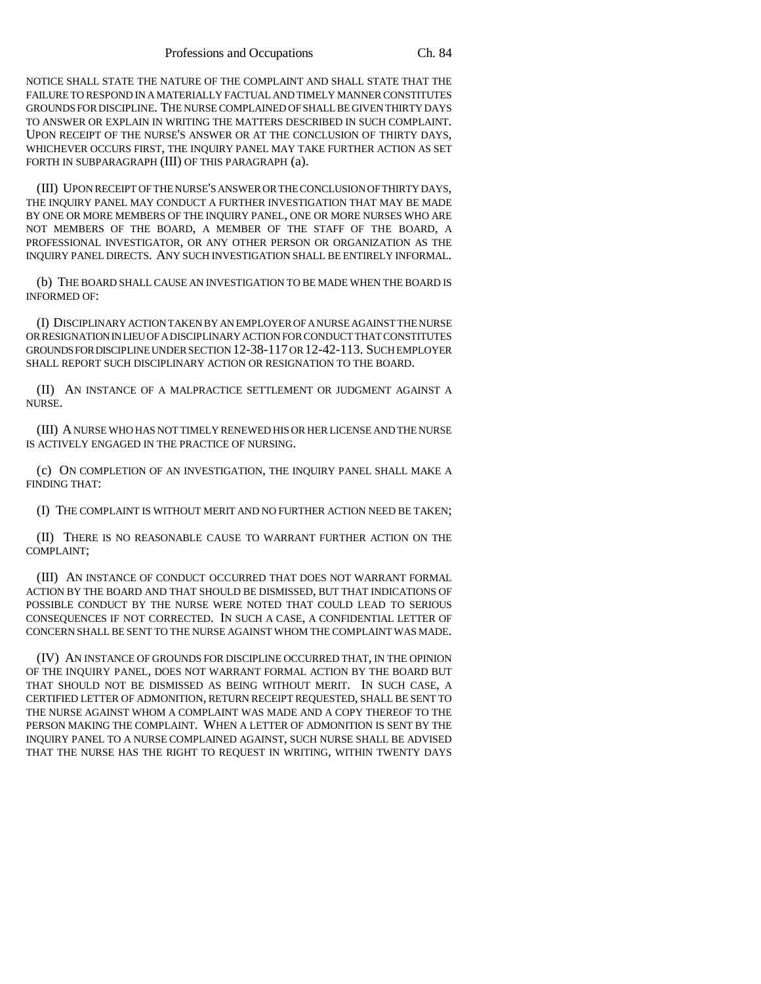NOTICE SHALL STATE THE NATURE OF THE COMPLAINT AND SHALL STATE THAT THE FAILURE TO RESPOND IN A MATERIALLY FACTUAL AND TIMELY MANNER CONSTITUTES GROUNDS FOR DISCIPLINE. THE NURSE COMPLAINED OF SHALL BE GIVEN THIRTY DAYS TO ANSWER OR EXPLAIN IN WRITING THE MATTERS DESCRIBED IN SUCH COMPLAINT. UPON RECEIPT OF THE NURSE'S ANSWER OR AT THE CONCLUSION OF THIRTY DAYS, WHICHEVER OCCURS FIRST, THE INQUIRY PANEL MAY TAKE FURTHER ACTION AS SET FORTH IN SUBPARAGRAPH (III) OF THIS PARAGRAPH (a).

(III) UPON RECEIPT OF THE NURSE'S ANSWER OR THE CONCLUSION OF THIRTY DAYS, THE INQUIRY PANEL MAY CONDUCT A FURTHER INVESTIGATION THAT MAY BE MADE BY ONE OR MORE MEMBERS OF THE INQUIRY PANEL, ONE OR MORE NURSES WHO ARE NOT MEMBERS OF THE BOARD, A MEMBER OF THE STAFF OF THE BOARD, A PROFESSIONAL INVESTIGATOR, OR ANY OTHER PERSON OR ORGANIZATION AS THE INQUIRY PANEL DIRECTS. ANY SUCH INVESTIGATION SHALL BE ENTIRELY INFORMAL.

(b) THE BOARD SHALL CAUSE AN INVESTIGATION TO BE MADE WHEN THE BOARD IS INFORMED OF:

(I) DISCIPLINARY ACTION TAKEN BY AN EMPLOYER OF A NURSE AGAINST THE NURSE OR RESIGNATION IN LIEU OF A DISCIPLINARY ACTION FOR CONDUCT THAT CONSTITUTES GROUNDS FOR DISCIPLINE UNDER SECTION 12-38-117 OR 12-42-113. SUCH EMPLOYER SHALL REPORT SUCH DISCIPLINARY ACTION OR RESIGNATION TO THE BOARD.

(II) AN INSTANCE OF A MALPRACTICE SETTLEMENT OR JUDGMENT AGAINST A NURSE.

(III) A NURSE WHO HAS NOT TIMELY RENEWED HIS OR HER LICENSE AND THE NURSE IS ACTIVELY ENGAGED IN THE PRACTICE OF NURSING.

(c) ON COMPLETION OF AN INVESTIGATION, THE INQUIRY PANEL SHALL MAKE A FINDING THAT:

(I) THE COMPLAINT IS WITHOUT MERIT AND NO FURTHER ACTION NEED BE TAKEN;

(II) THERE IS NO REASONABLE CAUSE TO WARRANT FURTHER ACTION ON THE COMPLAINT;

(III) AN INSTANCE OF CONDUCT OCCURRED THAT DOES NOT WARRANT FORMAL ACTION BY THE BOARD AND THAT SHOULD BE DISMISSED, BUT THAT INDICATIONS OF POSSIBLE CONDUCT BY THE NURSE WERE NOTED THAT COULD LEAD TO SERIOUS CONSEQUENCES IF NOT CORRECTED. IN SUCH A CASE, A CONFIDENTIAL LETTER OF CONCERN SHALL BE SENT TO THE NURSE AGAINST WHOM THE COMPLAINT WAS MADE.

(IV) AN INSTANCE OF GROUNDS FOR DISCIPLINE OCCURRED THAT, IN THE OPINION OF THE INQUIRY PANEL, DOES NOT WARRANT FORMAL ACTION BY THE BOARD BUT THAT SHOULD NOT BE DISMISSED AS BEING WITHOUT MERIT. IN SUCH CASE, A CERTIFIED LETTER OF ADMONITION, RETURN RECEIPT REQUESTED, SHALL BE SENT TO THE NURSE AGAINST WHOM A COMPLAINT WAS MADE AND A COPY THEREOF TO THE PERSON MAKING THE COMPLAINT. WHEN A LETTER OF ADMONITION IS SENT BY THE INQUIRY PANEL TO A NURSE COMPLAINED AGAINST, SUCH NURSE SHALL BE ADVISED THAT THE NURSE HAS THE RIGHT TO REQUEST IN WRITING, WITHIN TWENTY DAYS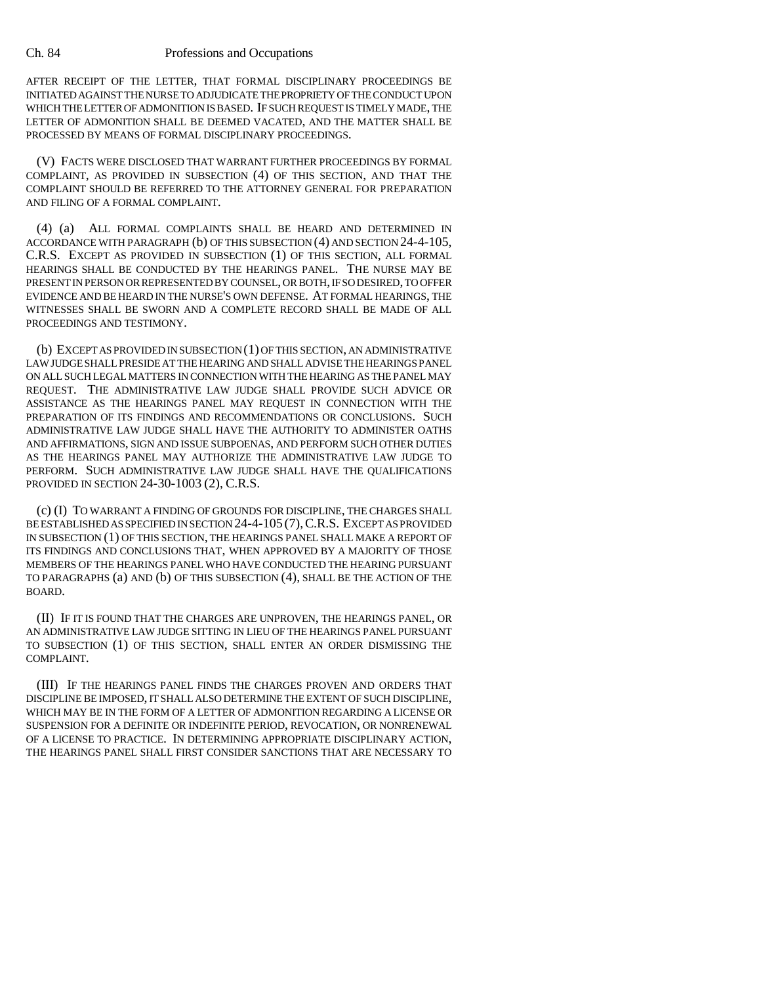AFTER RECEIPT OF THE LETTER, THAT FORMAL DISCIPLINARY PROCEEDINGS BE INITIATED AGAINST THE NURSE TO ADJUDICATE THE PROPRIETY OF THE CONDUCT UPON WHICH THE LETTER OF ADMONITION IS BASED. IF SUCH REQUEST IS TIMELY MADE, THE LETTER OF ADMONITION SHALL BE DEEMED VACATED, AND THE MATTER SHALL BE PROCESSED BY MEANS OF FORMAL DISCIPLINARY PROCEEDINGS.

(V) FACTS WERE DISCLOSED THAT WARRANT FURTHER PROCEEDINGS BY FORMAL COMPLAINT, AS PROVIDED IN SUBSECTION (4) OF THIS SECTION, AND THAT THE COMPLAINT SHOULD BE REFERRED TO THE ATTORNEY GENERAL FOR PREPARATION AND FILING OF A FORMAL COMPLAINT.

(4) (a) ALL FORMAL COMPLAINTS SHALL BE HEARD AND DETERMINED IN ACCORDANCE WITH PARAGRAPH (b) OF THIS SUBSECTION (4) AND SECTION 24-4-105, C.R.S. EXCEPT AS PROVIDED IN SUBSECTION (1) OF THIS SECTION, ALL FORMAL HEARINGS SHALL BE CONDUCTED BY THE HEARINGS PANEL. THE NURSE MAY BE PRESENT IN PERSON OR REPRESENTED BY COUNSEL, OR BOTH, IF SO DESIRED, TO OFFER EVIDENCE AND BE HEARD IN THE NURSE'S OWN DEFENSE. AT FORMAL HEARINGS, THE WITNESSES SHALL BE SWORN AND A COMPLETE RECORD SHALL BE MADE OF ALL PROCEEDINGS AND TESTIMONY.

(b) EXCEPT AS PROVIDED IN SUBSECTION (1) OF THIS SECTION, AN ADMINISTRATIVE LAW JUDGE SHALL PRESIDE AT THE HEARING AND SHALL ADVISE THE HEARINGS PANEL ON ALL SUCH LEGAL MATTERS IN CONNECTION WITH THE HEARING AS THE PANEL MAY REQUEST. THE ADMINISTRATIVE LAW JUDGE SHALL PROVIDE SUCH ADVICE OR ASSISTANCE AS THE HEARINGS PANEL MAY REQUEST IN CONNECTION WITH THE PREPARATION OF ITS FINDINGS AND RECOMMENDATIONS OR CONCLUSIONS. SUCH ADMINISTRATIVE LAW JUDGE SHALL HAVE THE AUTHORITY TO ADMINISTER OATHS AND AFFIRMATIONS, SIGN AND ISSUE SUBPOENAS, AND PERFORM SUCH OTHER DUTIES AS THE HEARINGS PANEL MAY AUTHORIZE THE ADMINISTRATIVE LAW JUDGE TO PERFORM. SUCH ADMINISTRATIVE LAW JUDGE SHALL HAVE THE QUALIFICATIONS PROVIDED IN SECTION 24-30-1003 (2), C.R.S.

(c) (I) TO WARRANT A FINDING OF GROUNDS FOR DISCIPLINE, THE CHARGES SHALL BE ESTABLISHED AS SPECIFIED IN SECTION 24-4-105 (7),C.R.S. EXCEPT AS PROVIDED IN SUBSECTION (1) OF THIS SECTION, THE HEARINGS PANEL SHALL MAKE A REPORT OF ITS FINDINGS AND CONCLUSIONS THAT, WHEN APPROVED BY A MAJORITY OF THOSE MEMBERS OF THE HEARINGS PANEL WHO HAVE CONDUCTED THE HEARING PURSUANT TO PARAGRAPHS (a) AND (b) OF THIS SUBSECTION (4), SHALL BE THE ACTION OF THE BOARD.

(II) IF IT IS FOUND THAT THE CHARGES ARE UNPROVEN, THE HEARINGS PANEL, OR AN ADMINISTRATIVE LAW JUDGE SITTING IN LIEU OF THE HEARINGS PANEL PURSUANT TO SUBSECTION (1) OF THIS SECTION, SHALL ENTER AN ORDER DISMISSING THE COMPLAINT.

(III) IF THE HEARINGS PANEL FINDS THE CHARGES PROVEN AND ORDERS THAT DISCIPLINE BE IMPOSED, IT SHALL ALSO DETERMINE THE EXTENT OF SUCH DISCIPLINE, WHICH MAY BE IN THE FORM OF A LETTER OF ADMONITION REGARDING A LICENSE OR SUSPENSION FOR A DEFINITE OR INDEFINITE PERIOD, REVOCATION, OR NONRENEWAL OF A LICENSE TO PRACTICE. IN DETERMINING APPROPRIATE DISCIPLINARY ACTION, THE HEARINGS PANEL SHALL FIRST CONSIDER SANCTIONS THAT ARE NECESSARY TO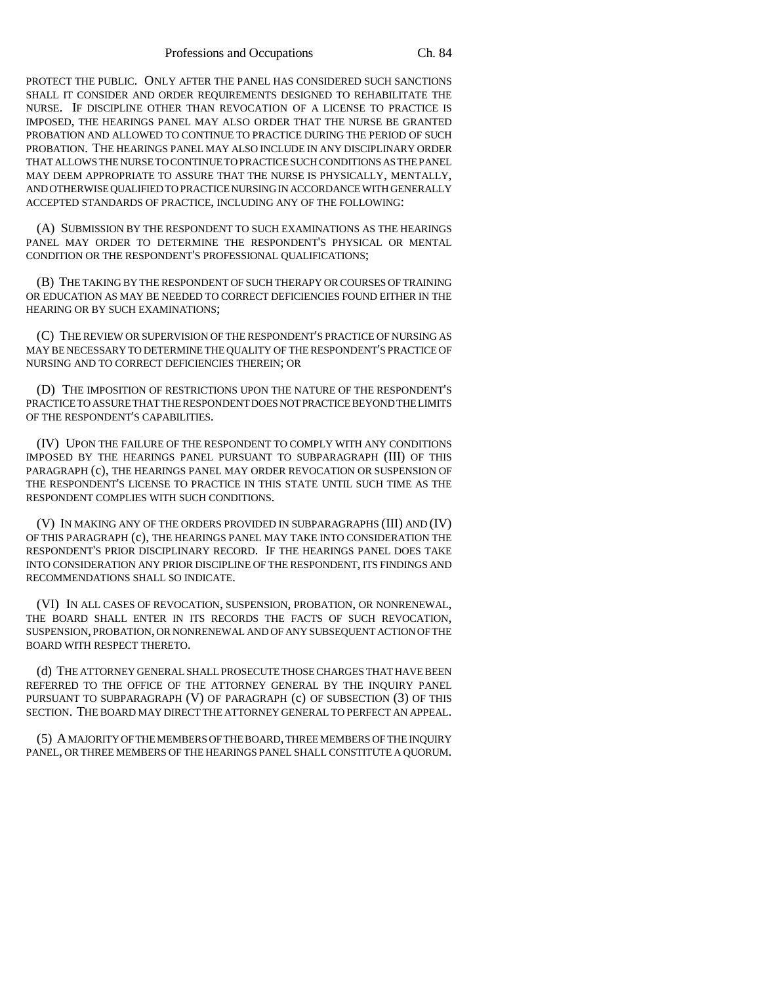PROTECT THE PUBLIC. ONLY AFTER THE PANEL HAS CONSIDERED SUCH SANCTIONS SHALL IT CONSIDER AND ORDER REQUIREMENTS DESIGNED TO REHABILITATE THE NURSE. IF DISCIPLINE OTHER THAN REVOCATION OF A LICENSE TO PRACTICE IS IMPOSED, THE HEARINGS PANEL MAY ALSO ORDER THAT THE NURSE BE GRANTED PROBATION AND ALLOWED TO CONTINUE TO PRACTICE DURING THE PERIOD OF SUCH PROBATION. THE HEARINGS PANEL MAY ALSO INCLUDE IN ANY DISCIPLINARY ORDER THAT ALLOWS THE NURSE TO CONTINUE TO PRACTICE SUCH CONDITIONS AS THE PANEL MAY DEEM APPROPRIATE TO ASSURE THAT THE NURSE IS PHYSICALLY, MENTALLY, AND OTHERWISE QUALIFIED TO PRACTICE NURSING IN ACCORDANCE WITH GENERALLY ACCEPTED STANDARDS OF PRACTICE, INCLUDING ANY OF THE FOLLOWING:

(A) SUBMISSION BY THE RESPONDENT TO SUCH EXAMINATIONS AS THE HEARINGS PANEL MAY ORDER TO DETERMINE THE RESPONDENT'S PHYSICAL OR MENTAL CONDITION OR THE RESPONDENT'S PROFESSIONAL QUALIFICATIONS;

(B) THE TAKING BY THE RESPONDENT OF SUCH THERAPY OR COURSES OF TRAINING OR EDUCATION AS MAY BE NEEDED TO CORRECT DEFICIENCIES FOUND EITHER IN THE HEARING OR BY SUCH EXAMINATIONS;

(C) THE REVIEW OR SUPERVISION OF THE RESPONDENT'S PRACTICE OF NURSING AS MAY BE NECESSARY TO DETERMINE THE QUALITY OF THE RESPONDENT'S PRACTICE OF NURSING AND TO CORRECT DEFICIENCIES THEREIN; OR

(D) THE IMPOSITION OF RESTRICTIONS UPON THE NATURE OF THE RESPONDENT'S PRACTICE TO ASSURE THAT THE RESPONDENT DOES NOT PRACTICE BEYOND THE LIMITS OF THE RESPONDENT'S CAPABILITIES.

(IV) UPON THE FAILURE OF THE RESPONDENT TO COMPLY WITH ANY CONDITIONS IMPOSED BY THE HEARINGS PANEL PURSUANT TO SUBPARAGRAPH (III) OF THIS PARAGRAPH (c), THE HEARINGS PANEL MAY ORDER REVOCATION OR SUSPENSION OF THE RESPONDENT'S LICENSE TO PRACTICE IN THIS STATE UNTIL SUCH TIME AS THE RESPONDENT COMPLIES WITH SUCH CONDITIONS.

(V) IN MAKING ANY OF THE ORDERS PROVIDED IN SUBPARAGRAPHS (III) AND (IV) OF THIS PARAGRAPH (c), THE HEARINGS PANEL MAY TAKE INTO CONSIDERATION THE RESPONDENT'S PRIOR DISCIPLINARY RECORD. IF THE HEARINGS PANEL DOES TAKE INTO CONSIDERATION ANY PRIOR DISCIPLINE OF THE RESPONDENT, ITS FINDINGS AND RECOMMENDATIONS SHALL SO INDICATE.

(VI) IN ALL CASES OF REVOCATION, SUSPENSION, PROBATION, OR NONRENEWAL, THE BOARD SHALL ENTER IN ITS RECORDS THE FACTS OF SUCH REVOCATION, SUSPENSION, PROBATION, OR NONRENEWAL AND OF ANY SUBSEQUENT ACTION OF THE BOARD WITH RESPECT THERETO.

(d) THE ATTORNEY GENERAL SHALL PROSECUTE THOSE CHARGES THAT HAVE BEEN REFERRED TO THE OFFICE OF THE ATTORNEY GENERAL BY THE INQUIRY PANEL PURSUANT TO SUBPARAGRAPH (V) OF PARAGRAPH (c) OF SUBSECTION (3) OF THIS SECTION. THE BOARD MAY DIRECT THE ATTORNEY GENERAL TO PERFECT AN APPEAL.

(5) A MAJORITY OF THE MEMBERS OF THE BOARD, THREE MEMBERS OF THE INQUIRY PANEL, OR THREE MEMBERS OF THE HEARINGS PANEL SHALL CONSTITUTE A QUORUM.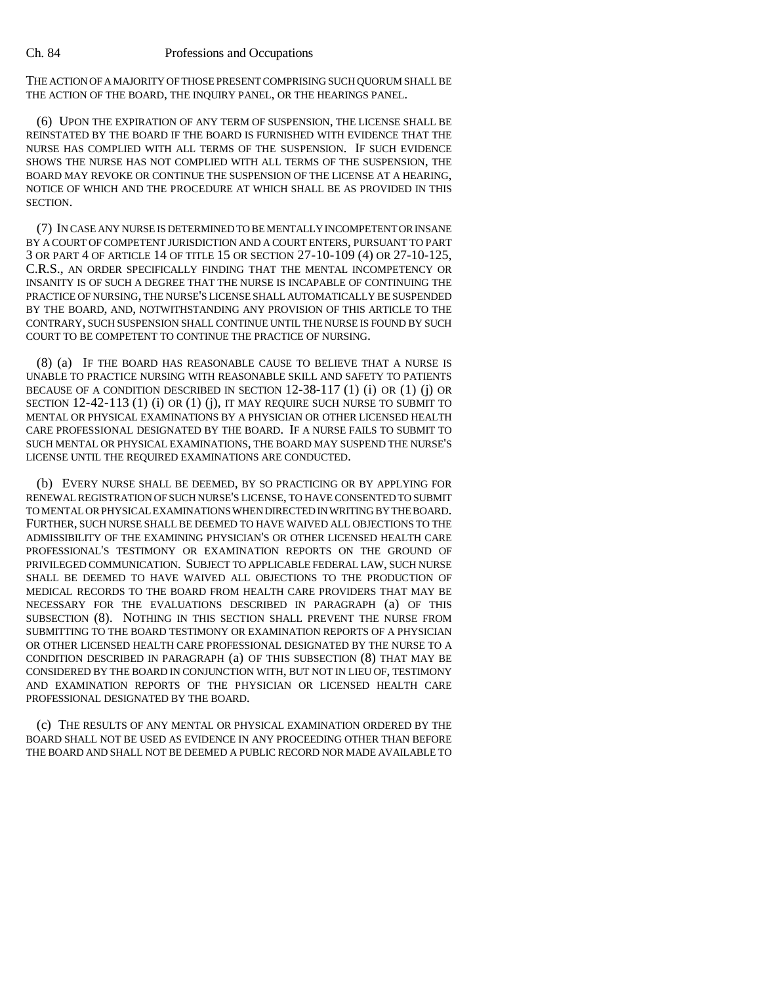THE ACTION OF A MAJORITY OF THOSE PRESENT COMPRISING SUCH QUORUM SHALL BE THE ACTION OF THE BOARD, THE INQUIRY PANEL, OR THE HEARINGS PANEL.

(6) UPON THE EXPIRATION OF ANY TERM OF SUSPENSION, THE LICENSE SHALL BE REINSTATED BY THE BOARD IF THE BOARD IS FURNISHED WITH EVIDENCE THAT THE NURSE HAS COMPLIED WITH ALL TERMS OF THE SUSPENSION. IF SUCH EVIDENCE SHOWS THE NURSE HAS NOT COMPLIED WITH ALL TERMS OF THE SUSPENSION, THE BOARD MAY REVOKE OR CONTINUE THE SUSPENSION OF THE LICENSE AT A HEARING, NOTICE OF WHICH AND THE PROCEDURE AT WHICH SHALL BE AS PROVIDED IN THIS SECTION.

(7) IN CASE ANY NURSE IS DETERMINED TO BE MENTALLY INCOMPETENT OR INSANE BY A COURT OF COMPETENT JURISDICTION AND A COURT ENTERS, PURSUANT TO PART 3 OR PART 4 OF ARTICLE 14 OF TITLE 15 OR SECTION 27-10-109 (4) OR 27-10-125, C.R.S., AN ORDER SPECIFICALLY FINDING THAT THE MENTAL INCOMPETENCY OR INSANITY IS OF SUCH A DEGREE THAT THE NURSE IS INCAPABLE OF CONTINUING THE PRACTICE OF NURSING, THE NURSE'S LICENSE SHALL AUTOMATICALLY BE SUSPENDED BY THE BOARD, AND, NOTWITHSTANDING ANY PROVISION OF THIS ARTICLE TO THE CONTRARY, SUCH SUSPENSION SHALL CONTINUE UNTIL THE NURSE IS FOUND BY SUCH COURT TO BE COMPETENT TO CONTINUE THE PRACTICE OF NURSING.

(8) (a) IF THE BOARD HAS REASONABLE CAUSE TO BELIEVE THAT A NURSE IS UNABLE TO PRACTICE NURSING WITH REASONABLE SKILL AND SAFETY TO PATIENTS BECAUSE OF A CONDITION DESCRIBED IN SECTION  $12-38-117$  (1) (i) OR (1) (j) OR SECTION 12-42-113 (1) (i) OR (1) (j), IT MAY REQUIRE SUCH NURSE TO SUBMIT TO MENTAL OR PHYSICAL EXAMINATIONS BY A PHYSICIAN OR OTHER LICENSED HEALTH CARE PROFESSIONAL DESIGNATED BY THE BOARD. IF A NURSE FAILS TO SUBMIT TO SUCH MENTAL OR PHYSICAL EXAMINATIONS, THE BOARD MAY SUSPEND THE NURSE'S LICENSE UNTIL THE REQUIRED EXAMINATIONS ARE CONDUCTED.

(b) EVERY NURSE SHALL BE DEEMED, BY SO PRACTICING OR BY APPLYING FOR RENEWAL REGISTRATION OF SUCH NURSE'S LICENSE, TO HAVE CONSENTED TO SUBMIT TO MENTAL OR PHYSICAL EXAMINATIONS WHEN DIRECTED IN WRITING BY THE BOARD. FURTHER, SUCH NURSE SHALL BE DEEMED TO HAVE WAIVED ALL OBJECTIONS TO THE ADMISSIBILITY OF THE EXAMINING PHYSICIAN'S OR OTHER LICENSED HEALTH CARE PROFESSIONAL'S TESTIMONY OR EXAMINATION REPORTS ON THE GROUND OF PRIVILEGED COMMUNICATION. SUBJECT TO APPLICABLE FEDERAL LAW, SUCH NURSE SHALL BE DEEMED TO HAVE WAIVED ALL OBJECTIONS TO THE PRODUCTION OF MEDICAL RECORDS TO THE BOARD FROM HEALTH CARE PROVIDERS THAT MAY BE NECESSARY FOR THE EVALUATIONS DESCRIBED IN PARAGRAPH (a) OF THIS SUBSECTION (8). NOTHING IN THIS SECTION SHALL PREVENT THE NURSE FROM SUBMITTING TO THE BOARD TESTIMONY OR EXAMINATION REPORTS OF A PHYSICIAN OR OTHER LICENSED HEALTH CARE PROFESSIONAL DESIGNATED BY THE NURSE TO A CONDITION DESCRIBED IN PARAGRAPH (a) OF THIS SUBSECTION (8) THAT MAY BE CONSIDERED BY THE BOARD IN CONJUNCTION WITH, BUT NOT IN LIEU OF, TESTIMONY AND EXAMINATION REPORTS OF THE PHYSICIAN OR LICENSED HEALTH CARE PROFESSIONAL DESIGNATED BY THE BOARD.

(c) THE RESULTS OF ANY MENTAL OR PHYSICAL EXAMINATION ORDERED BY THE BOARD SHALL NOT BE USED AS EVIDENCE IN ANY PROCEEDING OTHER THAN BEFORE THE BOARD AND SHALL NOT BE DEEMED A PUBLIC RECORD NOR MADE AVAILABLE TO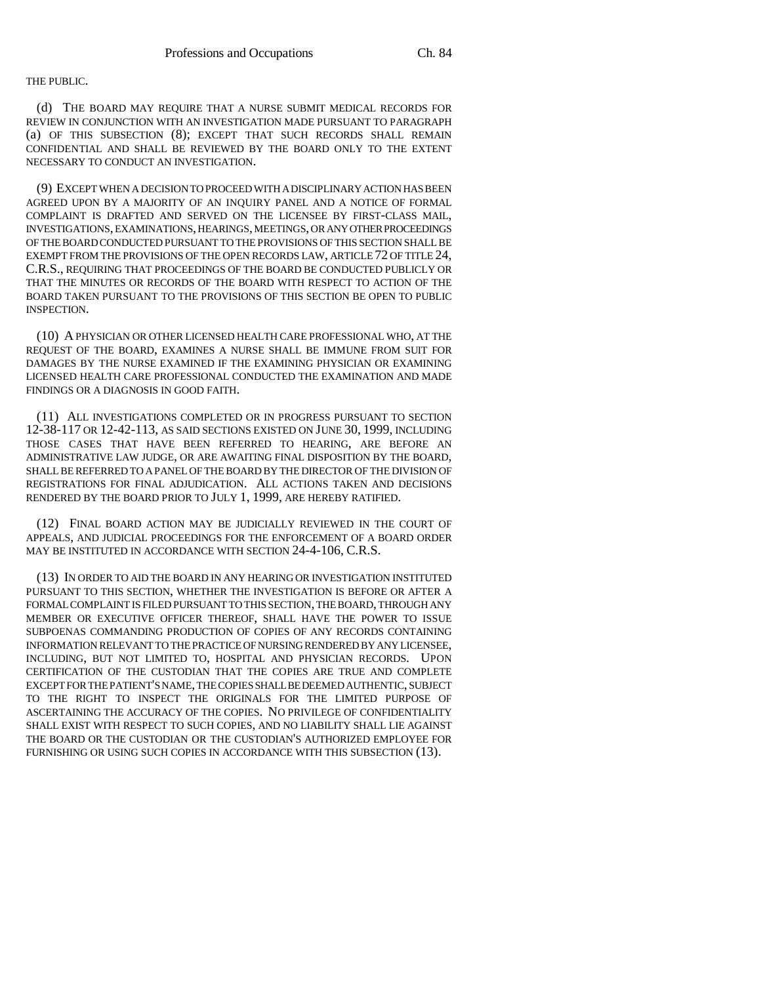### THE PUBLIC.

(d) THE BOARD MAY REQUIRE THAT A NURSE SUBMIT MEDICAL RECORDS FOR REVIEW IN CONJUNCTION WITH AN INVESTIGATION MADE PURSUANT TO PARAGRAPH (a) OF THIS SUBSECTION (8); EXCEPT THAT SUCH RECORDS SHALL REMAIN CONFIDENTIAL AND SHALL BE REVIEWED BY THE BOARD ONLY TO THE EXTENT NECESSARY TO CONDUCT AN INVESTIGATION.

(9) EXCEPT WHEN A DECISION TO PROCEED WITH A DISCIPLINARY ACTION HAS BEEN AGREED UPON BY A MAJORITY OF AN INQUIRY PANEL AND A NOTICE OF FORMAL COMPLAINT IS DRAFTED AND SERVED ON THE LICENSEE BY FIRST-CLASS MAIL, INVESTIGATIONS, EXAMINATIONS, HEARINGS, MEETINGS, OR ANY OTHER PROCEEDINGS OF THE BOARD CONDUCTED PURSUANT TO THE PROVISIONS OF THIS SECTION SHALL BE EXEMPT FROM THE PROVISIONS OF THE OPEN RECORDS LAW, ARTICLE 72 OF TITLE 24, C.R.S., REQUIRING THAT PROCEEDINGS OF THE BOARD BE CONDUCTED PUBLICLY OR THAT THE MINUTES OR RECORDS OF THE BOARD WITH RESPECT TO ACTION OF THE BOARD TAKEN PURSUANT TO THE PROVISIONS OF THIS SECTION BE OPEN TO PUBLIC INSPECTION.

(10) A PHYSICIAN OR OTHER LICENSED HEALTH CARE PROFESSIONAL WHO, AT THE REQUEST OF THE BOARD, EXAMINES A NURSE SHALL BE IMMUNE FROM SUIT FOR DAMAGES BY THE NURSE EXAMINED IF THE EXAMINING PHYSICIAN OR EXAMINING LICENSED HEALTH CARE PROFESSIONAL CONDUCTED THE EXAMINATION AND MADE FINDINGS OR A DIAGNOSIS IN GOOD FAITH.

(11) ALL INVESTIGATIONS COMPLETED OR IN PROGRESS PURSUANT TO SECTION 12-38-117 OR 12-42-113, AS SAID SECTIONS EXISTED ON JUNE 30, 1999, INCLUDING THOSE CASES THAT HAVE BEEN REFERRED TO HEARING, ARE BEFORE AN ADMINISTRATIVE LAW JUDGE, OR ARE AWAITING FINAL DISPOSITION BY THE BOARD, SHALL BE REFERRED TO A PANEL OF THE BOARD BY THE DIRECTOR OF THE DIVISION OF REGISTRATIONS FOR FINAL ADJUDICATION. ALL ACTIONS TAKEN AND DECISIONS RENDERED BY THE BOARD PRIOR TO JULY 1, 1999, ARE HEREBY RATIFIED.

(12) FINAL BOARD ACTION MAY BE JUDICIALLY REVIEWED IN THE COURT OF APPEALS, AND JUDICIAL PROCEEDINGS FOR THE ENFORCEMENT OF A BOARD ORDER MAY BE INSTITUTED IN ACCORDANCE WITH SECTION 24-4-106, C.R.S.

(13) IN ORDER TO AID THE BOARD IN ANY HEARING OR INVESTIGATION INSTITUTED PURSUANT TO THIS SECTION, WHETHER THE INVESTIGATION IS BEFORE OR AFTER A FORMAL COMPLAINT IS FILED PURSUANT TO THIS SECTION, THE BOARD, THROUGH ANY MEMBER OR EXECUTIVE OFFICER THEREOF, SHALL HAVE THE POWER TO ISSUE SUBPOENAS COMMANDING PRODUCTION OF COPIES OF ANY RECORDS CONTAINING INFORMATION RELEVANT TO THE PRACTICE OF NURSING RENDERED BY ANY LICENSEE, INCLUDING, BUT NOT LIMITED TO, HOSPITAL AND PHYSICIAN RECORDS. UPON CERTIFICATION OF THE CUSTODIAN THAT THE COPIES ARE TRUE AND COMPLETE EXCEPT FOR THE PATIENT'S NAME, THE COPIES SHALL BE DEEMED AUTHENTIC, SUBJECT TO THE RIGHT TO INSPECT THE ORIGINALS FOR THE LIMITED PURPOSE OF ASCERTAINING THE ACCURACY OF THE COPIES. NO PRIVILEGE OF CONFIDENTIALITY SHALL EXIST WITH RESPECT TO SUCH COPIES, AND NO LIABILITY SHALL LIE AGAINST THE BOARD OR THE CUSTODIAN OR THE CUSTODIAN'S AUTHORIZED EMPLOYEE FOR FURNISHING OR USING SUCH COPIES IN ACCORDANCE WITH THIS SUBSECTION (13).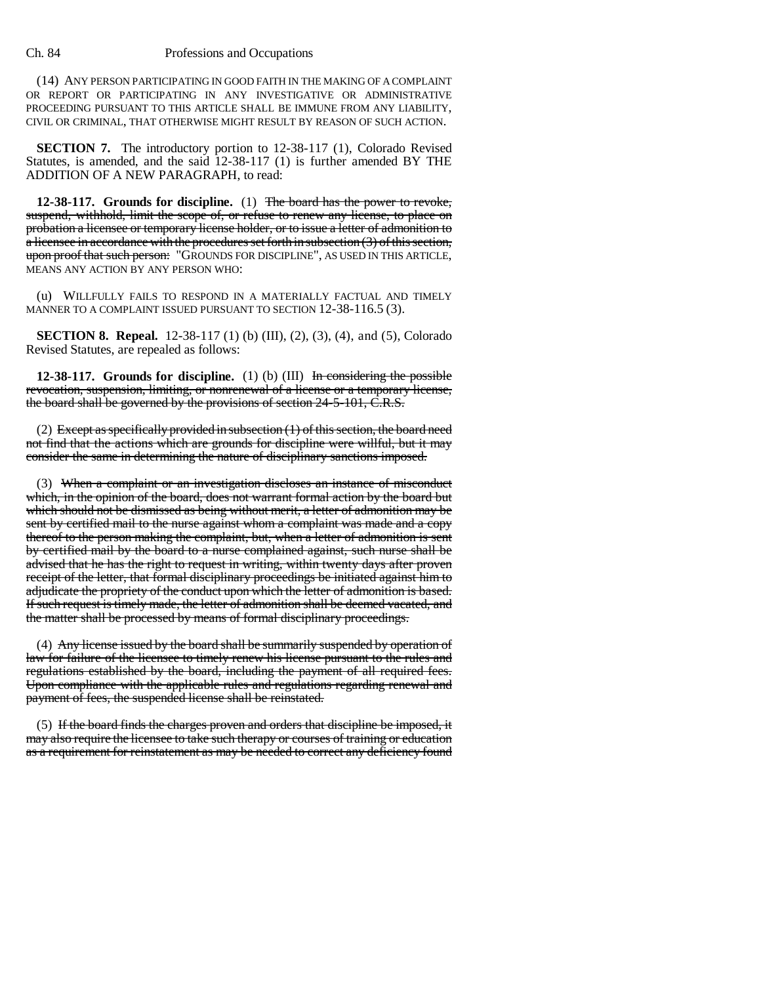(14) ANY PERSON PARTICIPATING IN GOOD FAITH IN THE MAKING OF A COMPLAINT OR REPORT OR PARTICIPATING IN ANY INVESTIGATIVE OR ADMINISTRATIVE PROCEEDING PURSUANT TO THIS ARTICLE SHALL BE IMMUNE FROM ANY LIABILITY, CIVIL OR CRIMINAL, THAT OTHERWISE MIGHT RESULT BY REASON OF SUCH ACTION.

**SECTION 7.** The introductory portion to 12-38-117 (1), Colorado Revised Statutes, is amended, and the said 12-38-117 (1) is further amended BY THE ADDITION OF A NEW PARAGRAPH, to read:

**12-38-117. Grounds for discipline.** (1) The board has the power to revoke, suspend, withhold, limit the scope of, or refuse to renew any license, to place on probation a licensee or temporary license holder, or to issue a letter of admonition to a licensee in accordance with the procedures set forth in subsection (3) of this section, upon proof that such person: "GROUNDS FOR DISCIPLINE", AS USED IN THIS ARTICLE, MEANS ANY ACTION BY ANY PERSON WHO:

(u) WILLFULLY FAILS TO RESPOND IN A MATERIALLY FACTUAL AND TIMELY MANNER TO A COMPLAINT ISSUED PURSUANT TO SECTION 12-38-116.5 (3).

**SECTION 8. Repeal.** 12-38-117 (1) (b) (III), (2), (3), (4), and (5), Colorado Revised Statutes, are repealed as follows:

**12-38-117. Grounds for discipline.** (1) (b) (III) In considering the possible revocation, suspension, limiting, or nonrenewal of a license or a temporary license, the board shall be governed by the provisions of section 24-5-101, C.R.S.

(2) Except as specifically provided in subsection (1) of this section, the board need not find that the actions which are grounds for discipline were willful, but it may consider the same in determining the nature of disciplinary sanctions imposed.

(3) When a complaint or an investigation discloses an instance of misconduct which, in the opinion of the board, does not warrant formal action by the board but which should not be dismissed as being without merit, a letter of admonition may be sent by certified mail to the nurse against whom a complaint was made and a copy thereof to the person making the complaint, but, when a letter of admonition is sent by certified mail by the board to a nurse complained against, such nurse shall be advised that he has the right to request in writing, within twenty days after proven receipt of the letter, that formal disciplinary proceedings be initiated against him to adjudicate the propriety of the conduct upon which the letter of admonition is based. If such request is timely made, the letter of admonition shall be deemed vacated, and the matter shall be processed by means of formal disciplinary proceedings.

(4) Any license issued by the board shall be summarily suspended by operation of law for failure of the licensee to timely renew his license pursuant to the rules and regulations established by the board, including the payment of all required fees. Upon compliance with the applicable rules and regulations regarding renewal and payment of fees, the suspended license shall be reinstated.

(5) If the board finds the charges proven and orders that discipline be imposed, it may also require the licensee to take such therapy or courses of training or education as a requirement for reinstatement as may be needed to correct any deficiency found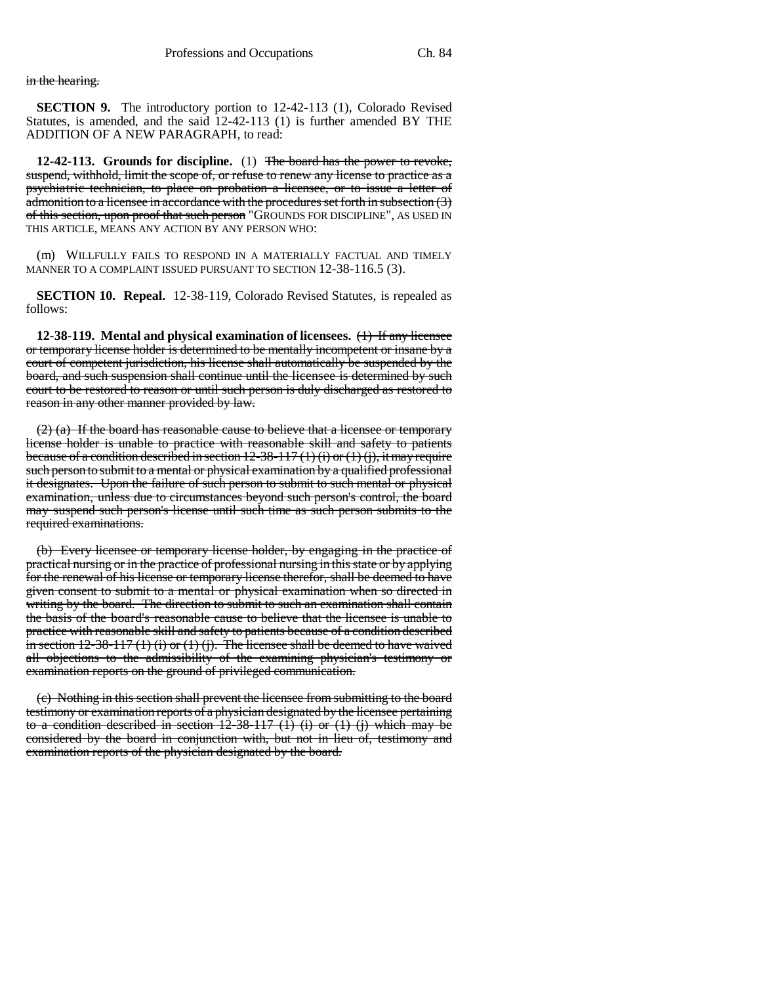in the hearing.

**SECTION 9.** The introductory portion to 12-42-113 (1), Colorado Revised Statutes, is amended, and the said 12-42-113 (1) is further amended BY THE ADDITION OF A NEW PARAGRAPH, to read:

**12-42-113. Grounds for discipline.** (1) The board has the power to revoke, suspend, withhold, limit the scope of, or refuse to renew any license to practice as a psychiatric technician, to place on probation a licensee, or to issue a letter of admonition to a licensee in accordance with the procedures set forth in subsection (3) of this section, upon proof that such person "GROUNDS FOR DISCIPLINE", AS USED IN THIS ARTICLE, MEANS ANY ACTION BY ANY PERSON WHO:

(m) WILLFULLY FAILS TO RESPOND IN A MATERIALLY FACTUAL AND TIMELY MANNER TO A COMPLAINT ISSUED PURSUANT TO SECTION 12-38-116.5 (3).

**SECTION 10. Repeal.** 12-38-119, Colorado Revised Statutes, is repealed as follows:

**12-38-119. Mental and physical examination of licensees.** (1) If any licensee or temporary license holder is determined to be mentally incompetent or insane by a court of competent jurisdiction, his license shall automatically be suspended by the board, and such suspension shall continue until the licensee is determined by such court to be restored to reason or until such person is duly discharged as restored to reason in any other manner provided by law.

(2) (a) If the board has reasonable cause to believe that a licensee or temporary license holder is unable to practice with reasonable skill and safety to patients because of a condition described in section  $12-38-117(1)(i)$  or  $(1)(j)$ , it may require such person to submit to a mental or physical examination by a qualified professional it designates. Upon the failure of such person to submit to such mental or physical examination, unless due to circumstances beyond such person's control, the board may suspend such person's license until such time as such person submits to the required examinations.

(b) Every licensee or temporary license holder, by engaging in the practice of practical nursing or in the practice of professional nursing in this state or by applying for the renewal of his license or temporary license therefor, shall be deemed to have given consent to submit to a mental or physical examination when so directed in writing by the board. The direction to submit to such an examination shall contain the basis of the board's reasonable cause to believe that the licensee is unable to practice with reasonable skill and safety to patients because of a condition described in section 12-38-117 (1) (i) or (1) (j). The licensee shall be deemed to have waived all objections to the admissibility of the examining physician's testimony or examination reports on the ground of privileged communication.

(c) Nothing in this section shall prevent the licensee from submitting to the board testimony or examination reports of a physician designated by the licensee pertaining to a condition described in section  $12-38-117$  (1) (i) or (1) (j) which may be considered by the board in conjunction with, but not in lieu of, testimony and examination reports of the physician designated by the board.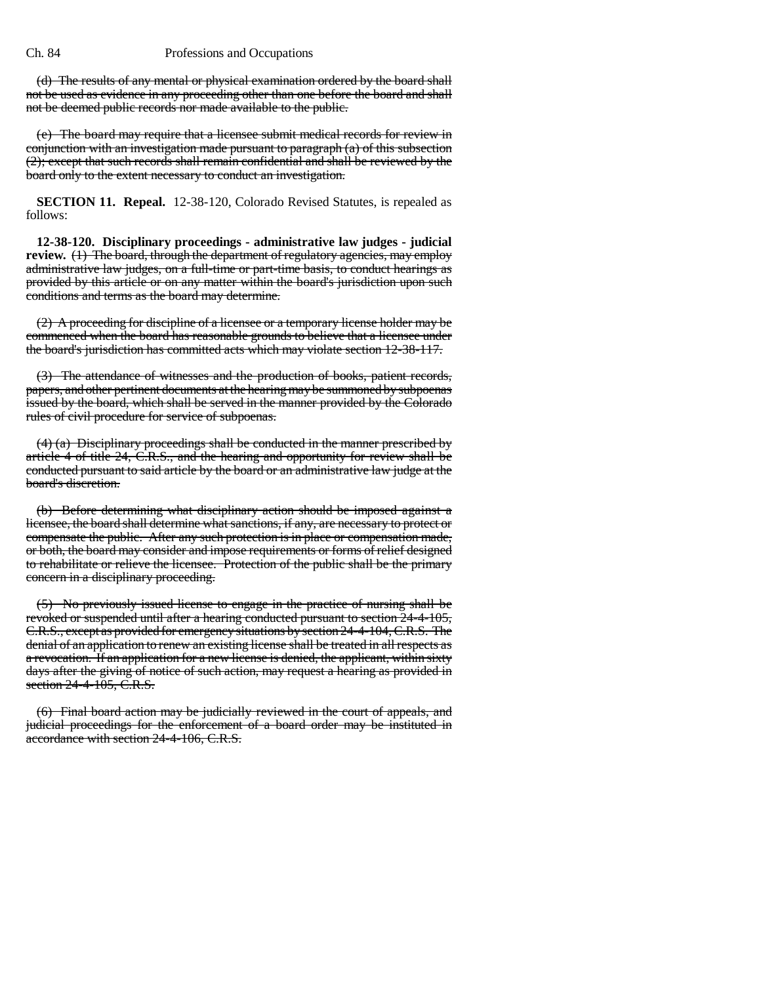(d) The results of any mental or physical examination ordered by the board shall not be used as evidence in any proceeding other than one before the board and shall not be deemed public records nor made available to the public.

(e) The board may require that a licensee submit medical records for review in conjunction with an investigation made pursuant to paragraph (a) of this subsection (2); except that such records shall remain confidential and shall be reviewed by the board only to the extent necessary to conduct an investigation.

**SECTION 11. Repeal.** 12-38-120, Colorado Revised Statutes, is repealed as follows:

**12-38-120. Disciplinary proceedings - administrative law judges - judicial review.** (1) The board, through the department of regulatory agencies, may employ administrative law judges, on a full-time or part-time basis, to conduct hearings as provided by this article or on any matter within the board's jurisdiction upon such conditions and terms as the board may determine.

(2) A proceeding for discipline of a licensee or a temporary license holder may be commenced when the board has reasonable grounds to believe that a licensee under the board's jurisdiction has committed acts which may violate section 12-38-117.

(3) The attendance of witnesses and the production of books, patient records, papers, and other pertinent documents at the hearing may be summoned by subpoenas issued by the board, which shall be served in the manner provided by the Colorado rules of civil procedure for service of subpoenas.

(4) (a) Disciplinary proceedings shall be conducted in the manner prescribed by article 4 of title 24, C.R.S., and the hearing and opportunity for review shall be conducted pursuant to said article by the board or an administrative law judge at the board's discretion.

(b) Before determining what disciplinary action should be imposed against a licensee, the board shall determine what sanctions, if any, are necessary to protect or compensate the public. After any such protection is in place or compensation made, or both, the board may consider and impose requirements or forms of relief designed to rehabilitate or relieve the licensee. Protection of the public shall be the primary concern in a disciplinary proceeding.

(5) No previously issued license to engage in the practice of nursing shall be revoked or suspended until after a hearing conducted pursuant to section 24-4-105, C.R.S., except as provided for emergency situations by section 24-4-104, C.R.S. The denial of an application to renew an existing license shall be treated in all respects as a revocation. If an application for a new license is denied, the applicant, within sixty days after the giving of notice of such action, may request a hearing as provided in section 24-4-105, C.R.S.

(6) Final board action may be judicially reviewed in the court of appeals, and judicial proceedings for the enforcement of a board order may be instituted in accordance with section 24-4-106, C.R.S.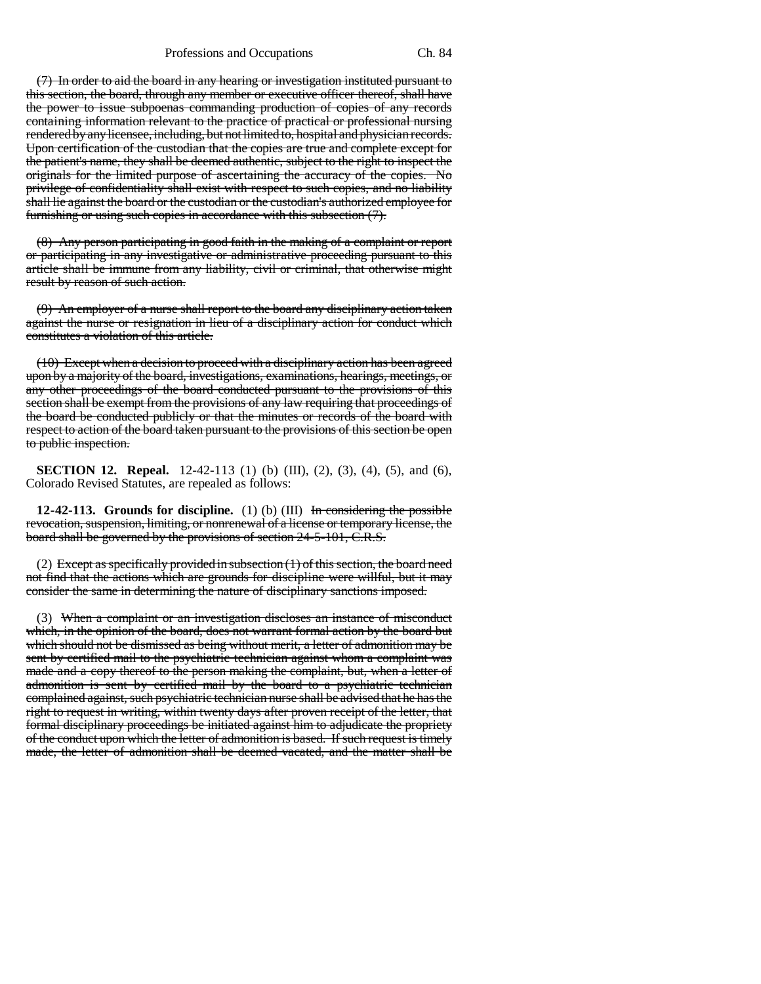(7) In order to aid the board in any hearing or investigation instituted pursuant to this section, the board, through any member or executive officer thereof, shall have the power to issue subpoenas commanding production of copies of any records containing information relevant to the practice of practical or professional nursing rendered by any licensee, including, but not limited to, hospital and physician records. Upon certification of the custodian that the copies are true and complete except for the patient's name, they shall be deemed authentic, subject to the right to inspect the originals for the limited purpose of ascertaining the accuracy of the copies. No privilege of confidentiality shall exist with respect to such copies, and no liability shall lie against the board or the custodian or the custodian's authorized employee for furnishing or using such copies in accordance with this subsection (7).

(8) Any person participating in good faith in the making of a complaint or report or participating in any investigative or administrative proceeding pursuant to this article shall be immune from any liability, civil or criminal, that otherwise might result by reason of such action.

(9) An employer of a nurse shall report to the board any disciplinary action taken against the nurse or resignation in lieu of a disciplinary action for conduct which constitutes a violation of this article.

(10) Except when a decision to proceed with a disciplinary action has been agreed upon by a majority of the board, investigations, examinations, hearings, meetings, or any other proceedings of the board conducted pursuant to the provisions of this section shall be exempt from the provisions of any law requiring that proceedings of the board be conducted publicly or that the minutes or records of the board with respect to action of the board taken pursuant to the provisions of this section be open to public inspection.

**SECTION 12. Repeal.** 12-42-113 (1) (b) (III), (2), (3), (4), (5), and (6), Colorado Revised Statutes, are repealed as follows:

**12-42-113. Grounds for discipline.** (1) (b) (III) In considering the possible revocation, suspension, limiting, or nonrenewal of a license or temporary license, the board shall be governed by the provisions of section 24-5-101, C.R.S.

(2) Except as specifically provided in subsection  $(1)$  of this section, the board need not find that the actions which are grounds for discipline were willful, but it may consider the same in determining the nature of disciplinary sanctions imposed.

(3) When a complaint or an investigation discloses an instance of misconduct which, in the opinion of the board, does not warrant formal action by the board but which should not be dismissed as being without merit, a letter of admonition may be sent by certified mail to the psychiatric technician against whom a complaint was made and a copy thereof to the person making the complaint, but, when a letter of admonition is sent by certified mail by the board to a psychiatric technician complained against, such psychiatric technician nurse shall be advised that he has the right to request in writing, within twenty days after proven receipt of the letter, that formal disciplinary proceedings be initiated against him to adjudicate the propriety of the conduct upon which the letter of admonition is based. If such request is timely made, the letter of admonition shall be deemed vacated, and the matter shall be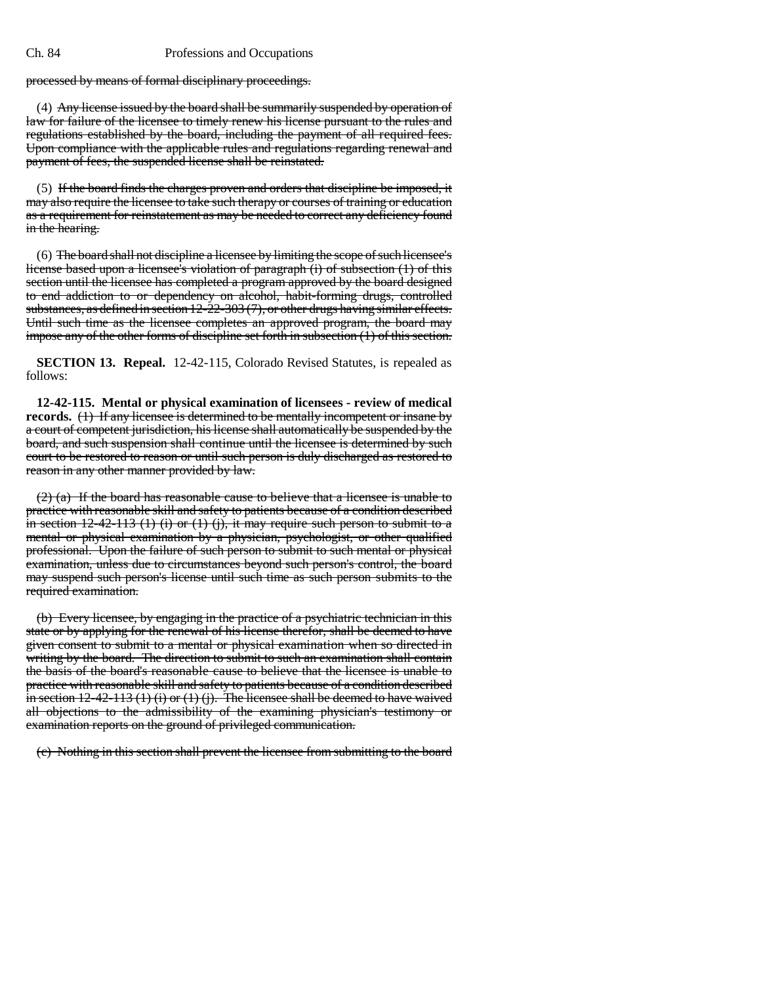processed by means of formal disciplinary proceedings.

(4) Any license issued by the board shall be summarily suspended by operation of law for failure of the licensee to timely renew his license pursuant to the rules and regulations established by the board, including the payment of all required fees. Upon compliance with the applicable rules and regulations regarding renewal and payment of fees, the suspended license shall be reinstated.

(5) If the board finds the charges proven and orders that discipline be imposed, it may also require the licensee to take such therapy or courses of training or education as a requirement for reinstatement as may be needed to correct any deficiency found in the hearing.

(6) The board shall not discipline a licensee by limiting the scope of such licensee's license based upon a licensee's violation of paragraph (i) of subsection (1) of this section until the licensee has completed a program approved by the board designed to end addiction to or dependency on alcohol, habit-forming drugs, controlled substances, as defined in section  $12{\text -}22{\text -}303(7)$ , or other drugs having similar effects. Until such time as the licensee completes an approved program, the board may impose any of the other forms of discipline set forth in subsection (1) of this section.

**SECTION 13. Repeal.** 12-42-115, Colorado Revised Statutes, is repealed as follows:

**12-42-115. Mental or physical examination of licensees - review of medical records.** (1) If any licensee is determined to be mentally incompetent or insane by a court of competent jurisdiction, his license shall automatically be suspended by the board, and such suspension shall continue until the licensee is determined by such court to be restored to reason or until such person is duly discharged as restored to reason in any other manner provided by law.

(2) (a) If the board has reasonable cause to believe that a licensee is unable to practice with reasonable skill and safety to patients because of a condition described in section  $12-42-113$  (1) (i) or (1) (j), it may require such person to submit to a mental or physical examination by a physician, psychologist, or other qualified professional. Upon the failure of such person to submit to such mental or physical examination, unless due to circumstances beyond such person's control, the board may suspend such person's license until such time as such person submits to the required examination.

(b) Every licensee, by engaging in the practice of a psychiatric technician in this state or by applying for the renewal of his license therefor, shall be deemed to have given consent to submit to a mental or physical examination when so directed in writing by the board. The direction to submit to such an examination shall contain the basis of the board's reasonable cause to believe that the licensee is unable to practice with reasonable skill and safety to patients because of a condition described in section  $12-42-113$  (1) (i) or (1) (j). The licensee shall be deemed to have waived all objections to the admissibility of the examining physician's testimony or examination reports on the ground of privileged communication.

(c) Nothing in this section shall prevent the licensee from submitting to the board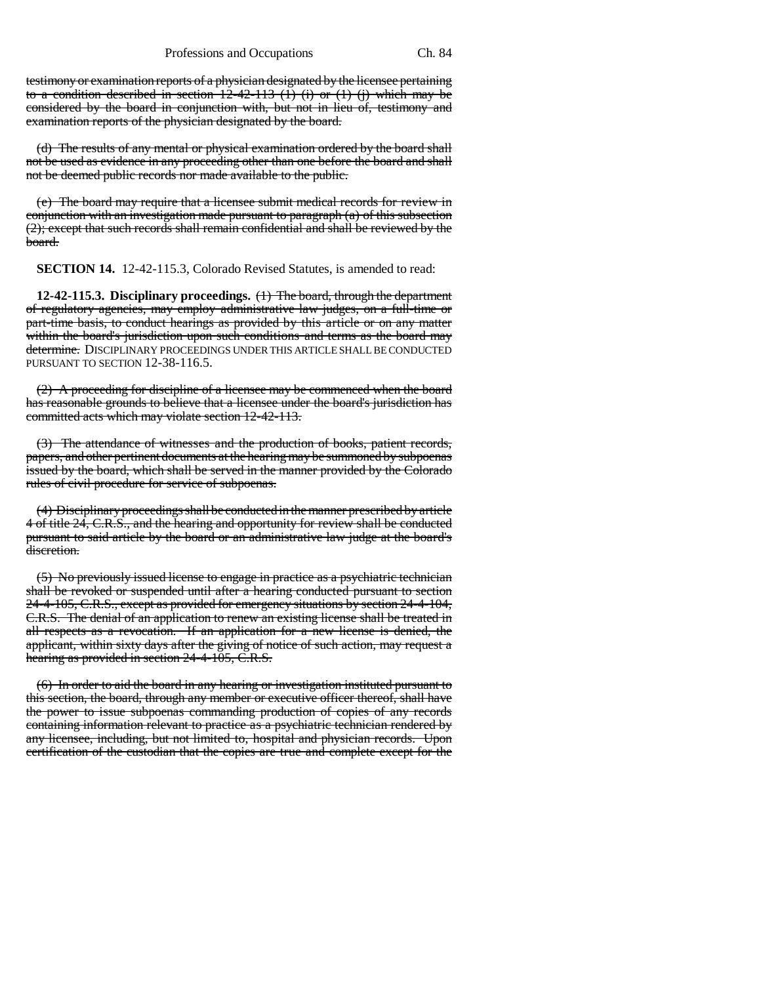testimony or examination reports of a physician designated by the licensee pertaining to a condition described in section  $12-42-113$  (1) (i) or (1) (j) which may be considered by the board in conjunction with, but not in lieu of, testimony and examination reports of the physician designated by the board.

(d) The results of any mental or physical examination ordered by the board shall not be used as evidence in any proceeding other than one before the board and shall not be deemed public records nor made available to the public.

(e) The board may require that a licensee submit medical records for review in conjunction with an investigation made pursuant to paragraph (a) of this subsection (2); except that such records shall remain confidential and shall be reviewed by the board.

**SECTION 14.** 12-42-115.3, Colorado Revised Statutes, is amended to read:

**12-42-115.3. Disciplinary proceedings.** (1) The board, through the department of regulatory agencies, may employ administrative law judges, on a full-time or part-time basis, to conduct hearings as provided by this article or on any matter within the board's jurisdiction upon such conditions and terms as the board may determine. DISCIPLINARY PROCEEDINGS UNDER THIS ARTICLE SHALL BE CONDUCTED PURSUANT TO SECTION 12-38-116.5.

(2) A proceeding for discipline of a licensee may be commenced when the board has reasonable grounds to believe that a licensee under the board's jurisdiction has committed acts which may violate section 12-42-113.

(3) The attendance of witnesses and the production of books, patient records, papers, and other pertinent documents at the hearing may be summoned by subpoenas issued by the board, which shall be served in the manner provided by the Colorado rules of civil procedure for service of subpoenas.

(4) Disciplinary proceedings shall be conducted in the manner prescribed by article 4 of title 24, C.R.S., and the hearing and opportunity for review shall be conducted pursuant to said article by the board or an administrative law judge at the board's discretion.

(5) No previously issued license to engage in practice as a psychiatric technician shall be revoked or suspended until after a hearing conducted pursuant to section 24-4-105, C.R.S., except as provided for emergency situations by section 24-4-104, C.R.S. The denial of an application to renew an existing license shall be treated in all respects as a revocation. If an application for a new license is denied, the applicant, within sixty days after the giving of notice of such action, may request a hearing as provided in section 24-4-105, C.R.S.

(6) In order to aid the board in any hearing or investigation instituted pursuant to this section, the board, through any member or executive officer thereof, shall have the power to issue subpoenas commanding production of copies of any records containing information relevant to practice as a psychiatric technician rendered by any licensee, including, but not limited to, hospital and physician records. Upon certification of the custodian that the copies are true and complete except for the